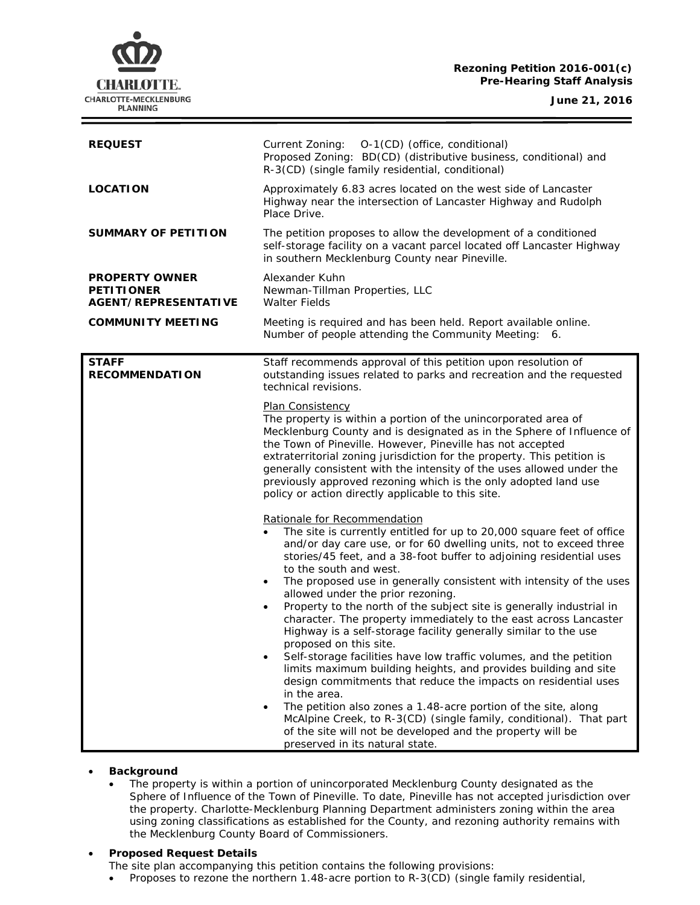## **Rezoning Petition 2016-001(c) Pre-Hearing Staff Analysis**

**CHARLOTTE.** CHARLOTTE-MECKLENBURG **PLANNING** 

**June 21, 2016**

| <b>REQUEST</b>                                                     | Current Zoning:<br>O-1(CD) (office, conditional)<br>Proposed Zoning: BD(CD) (distributive business, conditional) and<br>R-3(CD) (single family residential, conditional)                                                                                                                                                                                                                                                                                                                                                                                                                                                                                                                                                                                                                                                                                                  |
|--------------------------------------------------------------------|---------------------------------------------------------------------------------------------------------------------------------------------------------------------------------------------------------------------------------------------------------------------------------------------------------------------------------------------------------------------------------------------------------------------------------------------------------------------------------------------------------------------------------------------------------------------------------------------------------------------------------------------------------------------------------------------------------------------------------------------------------------------------------------------------------------------------------------------------------------------------|
| <b>LOCATION</b>                                                    | Approximately 6.83 acres located on the west side of Lancaster<br>Highway near the intersection of Lancaster Highway and Rudolph<br>Place Drive.                                                                                                                                                                                                                                                                                                                                                                                                                                                                                                                                                                                                                                                                                                                          |
| SUMMARY OF PETITION                                                | The petition proposes to allow the development of a conditioned<br>self-storage facility on a vacant parcel located off Lancaster Highway<br>in southern Mecklenburg County near Pineville.                                                                                                                                                                                                                                                                                                                                                                                                                                                                                                                                                                                                                                                                               |
| <b>PROPERTY OWNER</b><br><b>PETITIONER</b><br>AGENT/REPRESENTATIVE | Alexander Kuhn<br>Newman-Tillman Properties, LLC<br><b>Walter Fields</b>                                                                                                                                                                                                                                                                                                                                                                                                                                                                                                                                                                                                                                                                                                                                                                                                  |
| <b>COMMUNITY MEETING</b>                                           | Meeting is required and has been held. Report available online.<br>Number of people attending the Community Meeting: 6.                                                                                                                                                                                                                                                                                                                                                                                                                                                                                                                                                                                                                                                                                                                                                   |
| <b>STAFF</b><br><b>RECOMMENDATION</b>                              | Staff recommends approval of this petition upon resolution of<br>outstanding issues related to parks and recreation and the requested<br>technical revisions.<br><b>Plan Consistency</b><br>The property is within a portion of the unincorporated area of<br>Mecklenburg County and is designated as in the Sphere of Influence of<br>the Town of Pineville. However, Pineville has not accepted                                                                                                                                                                                                                                                                                                                                                                                                                                                                         |
|                                                                    | extraterritorial zoning jurisdiction for the property. This petition is<br>generally consistent with the intensity of the uses allowed under the<br>previously approved rezoning which is the only adopted land use<br>policy or action directly applicable to this site.                                                                                                                                                                                                                                                                                                                                                                                                                                                                                                                                                                                                 |
|                                                                    | Rationale for Recommendation<br>The site is currently entitled for up to 20,000 square feet of office<br>and/or day care use, or for 60 dwelling units, not to exceed three<br>stories/45 feet, and a 38-foot buffer to adjoining residential uses<br>to the south and west.<br>The proposed use in generally consistent with intensity of the uses<br>$\bullet$<br>allowed under the prior rezoning.<br>Property to the north of the subject site is generally industrial in<br>character. The property immediately to the east across Lancaster<br>Highway is a self-storage facility generally similar to the use<br>proposed on this site.<br>Self-storage facilities have low traffic volumes, and the petition<br>limits maximum building heights, and provides building and site<br>design commitments that reduce the impacts on residential uses<br>in the area. |
|                                                                    | The petition also zones a 1.48-acre portion of the site, along<br>McAlpine Creek, to R-3(CD) (single family, conditional). That part<br>of the site will not be developed and the property will be<br>preserved in its natural state.                                                                                                                                                                                                                                                                                                                                                                                                                                                                                                                                                                                                                                     |

### • **Background**

• The property is within a portion of unincorporated Mecklenburg County designated as the Sphere of Influence of the Town of Pineville. To date, Pineville has not accepted jurisdiction over the property. Charlotte-Mecklenburg Planning Department administers zoning within the area using zoning classifications as established for the County, and rezoning authority remains with the Mecklenburg County Board of Commissioners.

### • **Proposed Request Details**

- The site plan accompanying this petition contains the following provisions:
- Proposes to rezone the northern 1.48-acre portion to R-3(CD) (single family residential,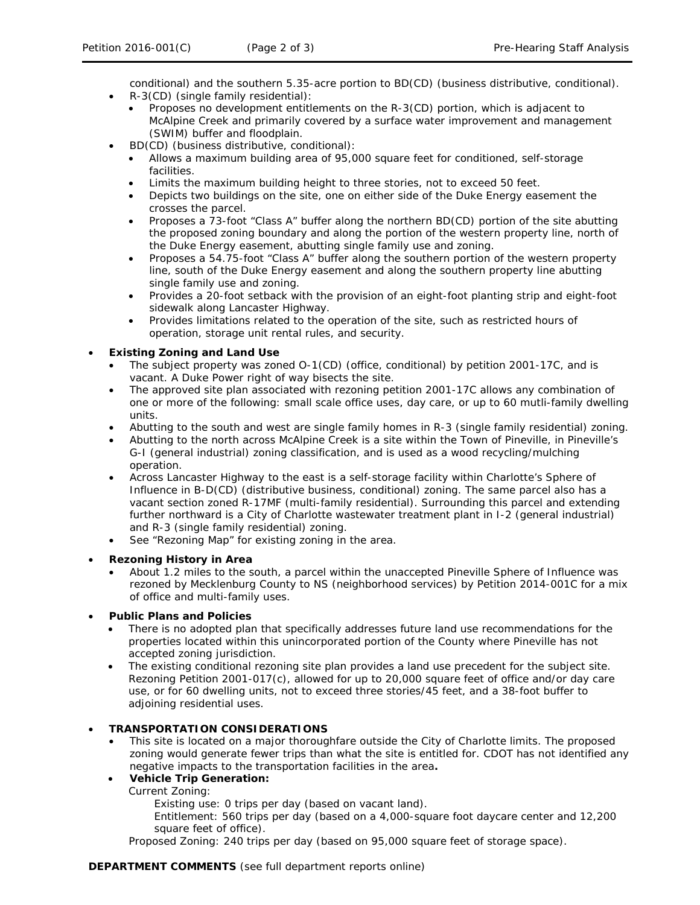conditional) and the southern 5.35-acre portion to BD(CD) (business distributive, conditional). • R-3(CD) (single family residential):

- Proposes no development entitlements on the R-3(CD) portion, which is adjacent to McAlpine Creek and primarily covered by a surface water improvement and management (SWIM) buffer and floodplain.
- BD(CD) (business distributive, conditional):
	- Allows a maximum building area of 95,000 square feet for conditioned, self-storage facilities.
	- Limits the maximum building height to three stories, not to exceed 50 feet.
	- Depicts two buildings on the site, one on either side of the Duke Energy easement the crosses the parcel.
	- Proposes a 73-foot "Class A" buffer along the northern BD(CD) portion of the site abutting the proposed zoning boundary and along the portion of the western property line, north of the Duke Energy easement, abutting single family use and zoning.
	- Proposes a 54.75-foot "Class A" buffer along the southern portion of the western property line, south of the Duke Energy easement and along the southern property line abutting single family use and zoning.
	- Provides a 20-foot setback with the provision of an eight-foot planting strip and eight-foot sidewalk along Lancaster Highway.
	- Provides limitations related to the operation of the site, such as restricted hours of operation, storage unit rental rules, and security.

## • **Existing Zoning and Land Use**

- The subject property was zoned O-1(CD) (office, conditional) by petition 2001-17C, and is vacant. A Duke Power right of way bisects the site.
- The approved site plan associated with rezoning petition 2001-17C allows any combination of one or more of the following: small scale office uses, day care, or up to 60 mutli-family dwelling units.
- Abutting to the south and west are single family homes in R-3 (single family residential) zoning.
- Abutting to the north across McAlpine Creek is a site within the Town of Pineville, in Pineville's G-I (general industrial) zoning classification, and is used as a wood recycling/mulching operation.
- Across Lancaster Highway to the east is a self-storage facility within Charlotte's Sphere of Influence in B-D(CD) (distributive business, conditional) zoning. The same parcel also has a vacant section zoned R-17MF (multi-family residential). Surrounding this parcel and extending further northward is a City of Charlotte wastewater treatment plant in I-2 (general industrial) and R-3 (single family residential) zoning.
- See "Rezoning Map" for existing zoning in the area.

## • **Rezoning History in Area**

• About 1.2 miles to the south, a parcel within the unaccepted Pineville Sphere of Influence was rezoned by Mecklenburg County to NS (neighborhood services) by Petition 2014-001C for a mix of office and multi-family uses.

# • **Public Plans and Policies**

- There is no adopted plan that specifically addresses future land use recommendations for the properties located within this unincorporated portion of the County where Pineville has not accepted zoning jurisdiction.
- The existing conditional rezoning site plan provides a land use precedent for the subject site. Rezoning Petition 2001-017(c), allowed for up to 20,000 square feet of office and/or day care use, or for 60 dwelling units, not to exceed three stories/45 feet, and a 38-foot buffer to adjoining residential uses.

# • **TRANSPORTATION CONSIDERATIONS**

• This site is located on a major thoroughfare outside the City of Charlotte limits. The proposed zoning would generate fewer trips than what the site is entitled for. CDOT has not identified any negative impacts to the transportation facilities in the area**.**

# • **Vehicle Trip Generation:**

Current Zoning:

Existing use: 0 trips per day (based on vacant land).

Entitlement: 560 trips per day (based on a 4,000-square foot daycare center and 12,200 square feet of office).

Proposed Zoning: 240 trips per day (based on 95,000 square feet of storage space).

## **DEPARTMENT COMMENTS** (see full department reports online)